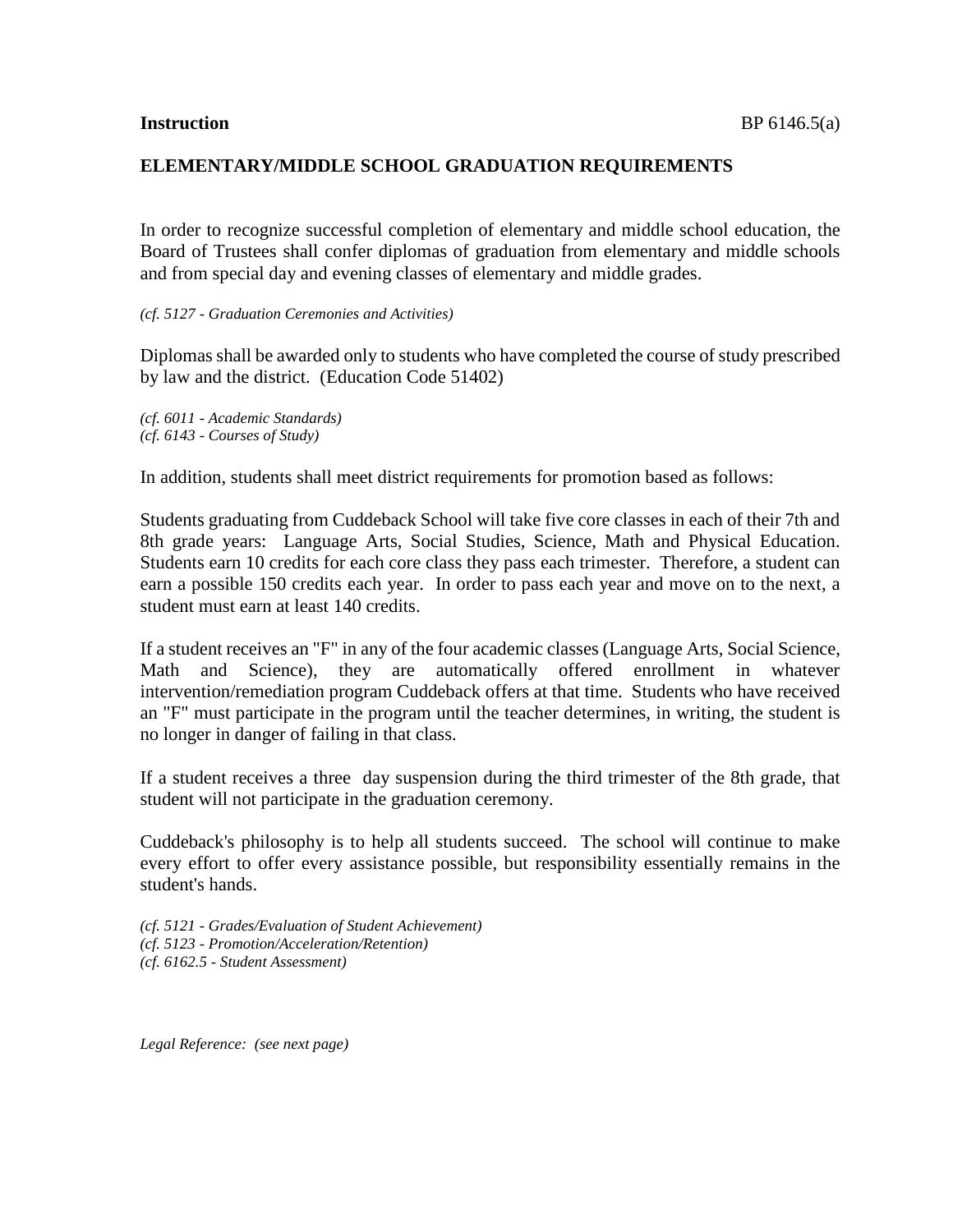## **ELEMENTARY/MIDDLE SCHOOL GRADUATION REQUIREMENTS**

In order to recognize successful completion of elementary and middle school education, the Board of Trustees shall confer diplomas of graduation from elementary and middle schools and from special day and evening classes of elementary and middle grades.

## *(cf. 5127 - Graduation Ceremonies and Activities)*

Diplomas shall be awarded only to students who have completed the course of study prescribed by law and the district. (Education Code 51402)

*(cf. 6011 - Academic Standards) (cf. 6143 - Courses of Study)*

In addition, students shall meet district requirements for promotion based as follows:

Students graduating from Cuddeback School will take five core classes in each of their 7th and 8th grade years: Language Arts, Social Studies, Science, Math and Physical Education. Students earn 10 credits for each core class they pass each trimester. Therefore, a student can earn a possible 150 credits each year. In order to pass each year and move on to the next, a student must earn at least 140 credits.

If a student receives an "F" in any of the four academic classes (Language Arts, Social Science, Math and Science), they are automatically offered enrollment in whatever intervention/remediation program Cuddeback offers at that time. Students who have received an "F" must participate in the program until the teacher determines, in writing, the student is no longer in danger of failing in that class.

If a student receives a three day suspension during the third trimester of the 8th grade, that student will not participate in the graduation ceremony.

Cuddeback's philosophy is to help all students succeed. The school will continue to make every effort to offer every assistance possible, but responsibility essentially remains in the student's hands.

*(cf. 5121 - Grades/Evaluation of Student Achievement) (cf. 5123 - Promotion/Acceleration/Retention) (cf. 6162.5 - Student Assessment)*

*Legal Reference: (see next page)*